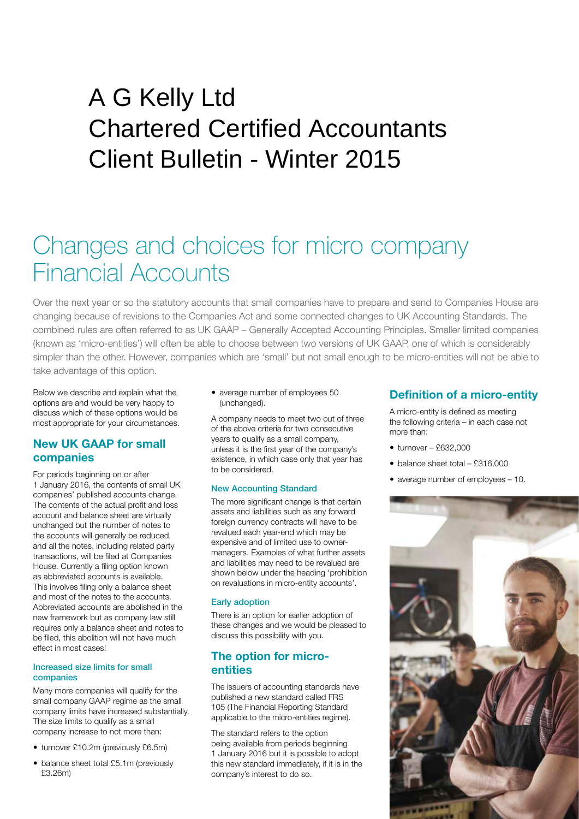## $\sum_{i=1}^{\infty}$ A G Kelly Ltd Chartered Certified Accountants Client Bulletin - Winter 2015

# Changes and choices for micro company Financial Accounts

Over the next year or so the statutory accounts that small companies have to prepare and send to Companies House are changing because of revisions to the Companies Act and some connected changes to UK Accounting Standards. The combined rules are often referred to as UK GAAP – Generally Accepted Accounting Principles. Smaller limited companies (known as 'micro-entities') will often be able to choose between two versions of UK GAAP, one of which is considerably simpler than the other. However, companies which are 'small' but not small enough to be micro-entities will not be able to take advantage of this option.

Below we describe and explain what the options are and would be very happy to discuss which of these options would be most appropriate for your circumstances.

## **New UK GAAP for small companies**

For periods beginning on or after 1 January 2016, the contents of small UK companies' published accounts change. The contents of the actual profit and loss account and balance sheet are virtually unchanged but the number of notes to the accounts will generally be reduced, and all the notes, including related party transactions, will be filed at Companies House. Currently a filing option known as abbreviated accounts is available. This involves filing only a balance sheet and most of the notes to the accounts. Abbreviated accounts are abolished in the new framework but as company law still requires only a balance sheet and notes to be filed, this abolition will not have much effect in most cases!

#### Increased size limits for small companies

Many more companies will qualify for the small company GAAP regime as the small company limits have increased substantially. The size limits to qualify as a small company increase to not more than:

- turnover £10.2m (previously £6.5m)
- balance sheet total £5.1m (previously £3.26m)

 average number of employees 50 (unchanged).

A company needs to meet two out of three of the above criteria for two consecutive years to qualify as a small company, unless it is the first year of the company's existence, in which case only that year has to be considered.

#### New Accounting Standard

The more significant change is that certain assets and liabilities such as any forward foreign currency contracts will have to be revalued each year-end which may be expensive and of limited use to ownermanagers. Examples of what further assets and liabilities may need to be revalued are shown below under the heading 'prohibition on revaluations in micro-entity accounts'.

#### Early adoption

There is an option for earlier adoption of these changes and we would be pleased to discuss this possibility with you.

### **The option for microentities**

The issuers of accounting standards have published a new standard called FRS 105 (The Financial Reporting Standard applicable to the micro-entities regime).

The standard refers to the option being available from periods beginning 1 January 2016 but it is possible to adopt this new standard immediately, if it is in the company's interest to do so.

## **Definition of a micro-entity**

A micro-entity is defined as meeting the following criteria – in each case not more than:

- $\bullet$  turnover £632,000
- balance sheet total £316,000
- average number of employees 10.